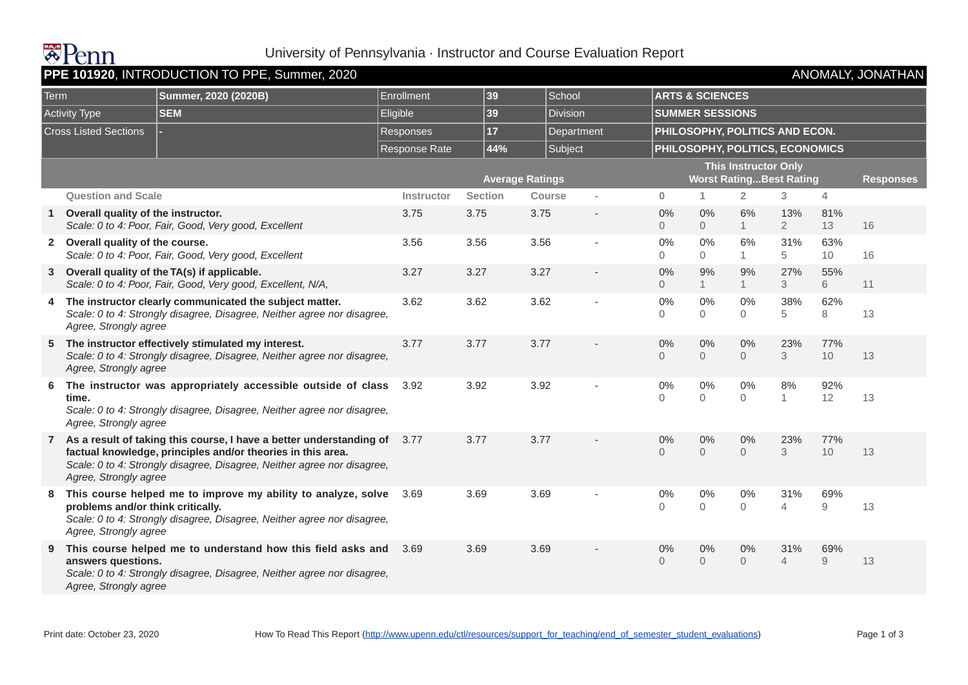

## University of Pennsylvania · Instructor and Course Evaluation Report

| PPE 101920, INTRODUCTION TO PPE, Summer, 2020<br>ANOMALY, JONATHAN |                                                            |                                                                                                                                                                                                                 |                      |                        |               |                |                      |                                                               |                      |                       |                   |    |  |  |
|--------------------------------------------------------------------|------------------------------------------------------------|-----------------------------------------------------------------------------------------------------------------------------------------------------------------------------------------------------------------|----------------------|------------------------|---------------|----------------|----------------------|---------------------------------------------------------------|----------------------|-----------------------|-------------------|----|--|--|
| Term<br><b>Activity Type</b>                                       |                                                            | Summer, 2020 (2020B)                                                                                                                                                                                            | Enrollment           | 39                     |               | School         |                      | <b>ARTS &amp; SCIENCES</b><br><b>SUMMER SESSIONS</b>          |                      |                       |                   |    |  |  |
|                                                                    |                                                            | <b>SEM</b>                                                                                                                                                                                                      | Eligible             | 39                     |               | Division       |                      |                                                               |                      |                       |                   |    |  |  |
| <b>Cross Listed Sections</b>                                       |                                                            |                                                                                                                                                                                                                 | Responses            | 17                     |               | Department     |                      | PHILOSOPHY, POLITICS AND ECON.                                |                      |                       |                   |    |  |  |
|                                                                    |                                                            |                                                                                                                                                                                                                 | <b>Response Rate</b> |                        | 44%           | Subject        |                      | PHILOSOPHY, POLITICS, ECONOMICS                               |                      |                       |                   |    |  |  |
|                                                                    |                                                            |                                                                                                                                                                                                                 |                      | <b>Average Ratings</b> |               |                |                      | <b>This Instructor Only</b><br><b>Worst RatingBest Rating</b> | <b>Responses</b>     |                       |                   |    |  |  |
|                                                                    | <b>Question and Scale</b>                                  |                                                                                                                                                                                                                 | <b>Instructor</b>    | <b>Section</b>         | <b>Course</b> |                | $\bf{0}$             | 1.                                                            | $\overline{2}$       | 3                     | 4                 |    |  |  |
|                                                                    | Overall quality of the instructor.                         | Scale: 0 to 4: Poor, Fair, Good, Very good, Excellent                                                                                                                                                           | 3.75                 | 3.75                   | 3.75          | $\blacksquare$ | 0%<br>$\overline{0}$ | 0%<br>$\overline{0}$                                          | 6%<br>$\mathbf{1}$   | 13%<br>$\overline{2}$ | 81%<br>13         | 16 |  |  |
|                                                                    | 2 Overall quality of the course.                           | Scale: 0 to 4: Poor, Fair, Good, Very good, Excellent                                                                                                                                                           | 3.56                 | 3.56                   | 3.56          |                | 0%<br>0              | 0%<br>0                                                       | 6%<br>$\mathbf{1}$   | 31%<br>5              | 63%<br>10         | 16 |  |  |
|                                                                    |                                                            | 3 Overall quality of the TA(s) if applicable.<br>Scale: 0 to 4: Poor, Fair, Good, Very good, Excellent, N/A,                                                                                                    | 3.27                 | 3.27                   | 3.27          |                | 0%<br>$\overline{0}$ | 9%<br>1                                                       | 9%<br>$\mathbf{1}$   | 27%<br>3              | 55%<br>6          | 11 |  |  |
| 4                                                                  | Agree, Strongly agree                                      | The instructor clearly communicated the subject matter.<br>Scale: 0 to 4: Strongly disagree, Disagree, Neither agree nor disagree,                                                                              | 3.62                 | 3.62                   | 3.62          |                | 0%<br>0              | 0%<br>$\overline{0}$                                          | 0%<br>$\Omega$       | 38%<br>5              | 62%<br>$\,8\,$    | 13 |  |  |
|                                                                    | Agree, Strongly agree                                      | 5 The instructor effectively stimulated my interest.<br>Scale: 0 to 4: Strongly disagree, Disagree, Neither agree nor disagree,                                                                                 | 3.77                 | 3.77                   | 3.77          |                | 0%<br>$\overline{0}$ | 0%<br>$\Omega$                                                | 0%<br>$\Omega$       | 23%<br>3              | 77%<br>10         | 13 |  |  |
| 6                                                                  | time.<br>Agree, Strongly agree                             | The instructor was appropriately accessible outside of class<br>Scale: 0 to 4: Strongly disagree, Disagree, Neither agree nor disagree,                                                                         | 3.92                 | 3.92                   | 3.92          |                | 0%<br>$\Omega$       | $0\%$<br>$\Omega$                                             | 0%<br>$\Omega$       | 8%<br>1               | 92%<br>12         | 13 |  |  |
|                                                                    | Agree, Strongly agree                                      | 7 As a result of taking this course, I have a better understanding of<br>factual knowledge, principles and/or theories in this area.<br>Scale: 0 to 4: Strongly disagree, Disagree, Neither agree nor disagree, | 3.77                 | 3.77                   | 3.77          |                | 0%<br>$\overline{0}$ | $0\%$<br>$\overline{0}$                                       | 0%<br>$\Omega$       | 23%<br>3              | 77%<br>10         | 13 |  |  |
| 8                                                                  | problems and/or think critically.<br>Agree, Strongly agree | This course helped me to improve my ability to analyze, solve<br>Scale: 0 to 4: Strongly disagree, Disagree, Neither agree nor disagree,                                                                        | 3.69                 | 3.69                   | 3.69          |                | $0\%$<br>$\Omega$    | 0%<br>0                                                       | 0%<br>$\overline{0}$ | 31%<br>$\overline{4}$ | 69%<br>$\hbox{9}$ | 13 |  |  |
|                                                                    | answers questions.<br>Agree, Strongly agree                | This course helped me to understand how this field asks and<br>Scale: 0 to 4: Strongly disagree, Disagree, Neither agree nor disagree,                                                                          | 3.69                 | 3.69                   | 3.69          |                | 0%<br>$\overline{0}$ | 0%<br>$\overline{0}$                                          | 0%<br>$\overline{0}$ | 31%<br>$\overline{4}$ | 69%<br>$\hbox{9}$ | 13 |  |  |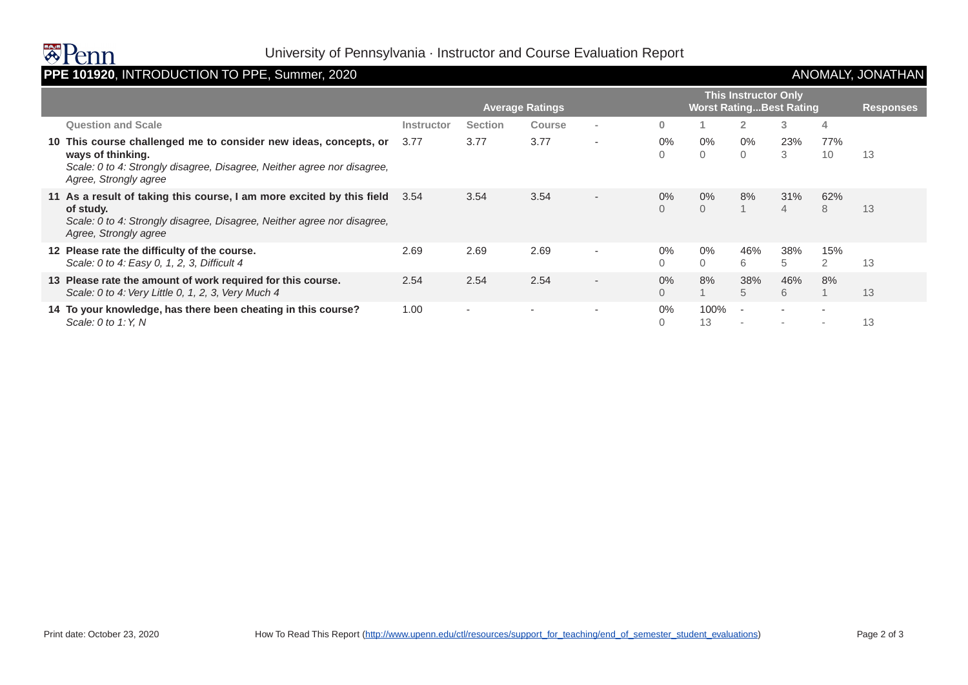

# University of Pennsylvania · Instructor and Course Evaluation Report

## **PPE 101920**, INTRODUCTION TO PPE, Summer, 2020 ANOMALY, JONATHAN

|                                                                                                                                                                                           | <b>This Instructor Only</b> |                |               |                          |                   |                                 |                   |                                                      |                                                      |                  |
|-------------------------------------------------------------------------------------------------------------------------------------------------------------------------------------------|-----------------------------|----------------|---------------|--------------------------|-------------------|---------------------------------|-------------------|------------------------------------------------------|------------------------------------------------------|------------------|
|                                                                                                                                                                                           | <b>Average Ratings</b>      |                |               |                          |                   | <b>Worst Rating Best Rating</b> |                   |                                                      |                                                      | <b>Responses</b> |
| <b>Question and Scale</b>                                                                                                                                                                 | Instructor                  | <b>Section</b> | <b>Course</b> | $\sim$                   | $\mathbf{0}$      |                                 | $\overline{2}$    | 3                                                    | 4                                                    |                  |
| 10 This course challenged me to consider new ideas, concepts, or<br>ways of thinking.<br>Scale: 0 to 4: Strongly disagree, Disagree, Neither agree nor disagree,<br>Agree, Strongly agree | 3.77                        | 3.77           | 3.77          |                          | $0\%$<br>0        | $0\%$<br>0                      | $0\%$<br>$\Omega$ | 23%<br>3                                             | 77%<br>10                                            | 13               |
| 11 As a result of taking this course, I am more excited by this field<br>of study.<br>Scale: 0 to 4: Strongly disagree, Disagree, Neither agree nor disagree,<br>Agree, Strongly agree    | 3.54                        | 3.54           | 3.54          | $\overline{\phantom{a}}$ | 0%<br>$\Omega$    | $0\%$<br>$\Omega$               | 8%                | 31%<br>4                                             | 62%<br>8                                             | 13               |
| 12 Please rate the difficulty of the course.<br>Scale: 0 to 4: Easy 0, 1, 2, 3, Difficult 4                                                                                               | 2.69                        | 2.69           | 2.69          |                          | 0%<br>$\Omega$    | $0\%$<br>$\Omega$               | 46%<br>6          | 38%<br>5                                             | 15%<br>2                                             | 13               |
| 13 Please rate the amount of work required for this course.<br>Scale: 0 to 4: Very Little 0, 1, 2, 3, Very Much 4                                                                         | 2.54                        | 2.54           | 2.54          | $\overline{\phantom{a}}$ | $0\%$<br>$\Omega$ | 8%                              | 38%<br>5          | 46%<br>6                                             | 8%                                                   | 13               |
| 14 To your knowledge, has there been cheating in this course?<br>Scale: 0 to 1: Y, N                                                                                                      | 1.00                        |                |               |                          | $0\%$<br>0        | 100%<br>13                      | $\sim$            | $\overline{\phantom{a}}$<br>$\overline{\phantom{a}}$ | $\overline{\phantom{a}}$<br>$\overline{\phantom{a}}$ | 13               |